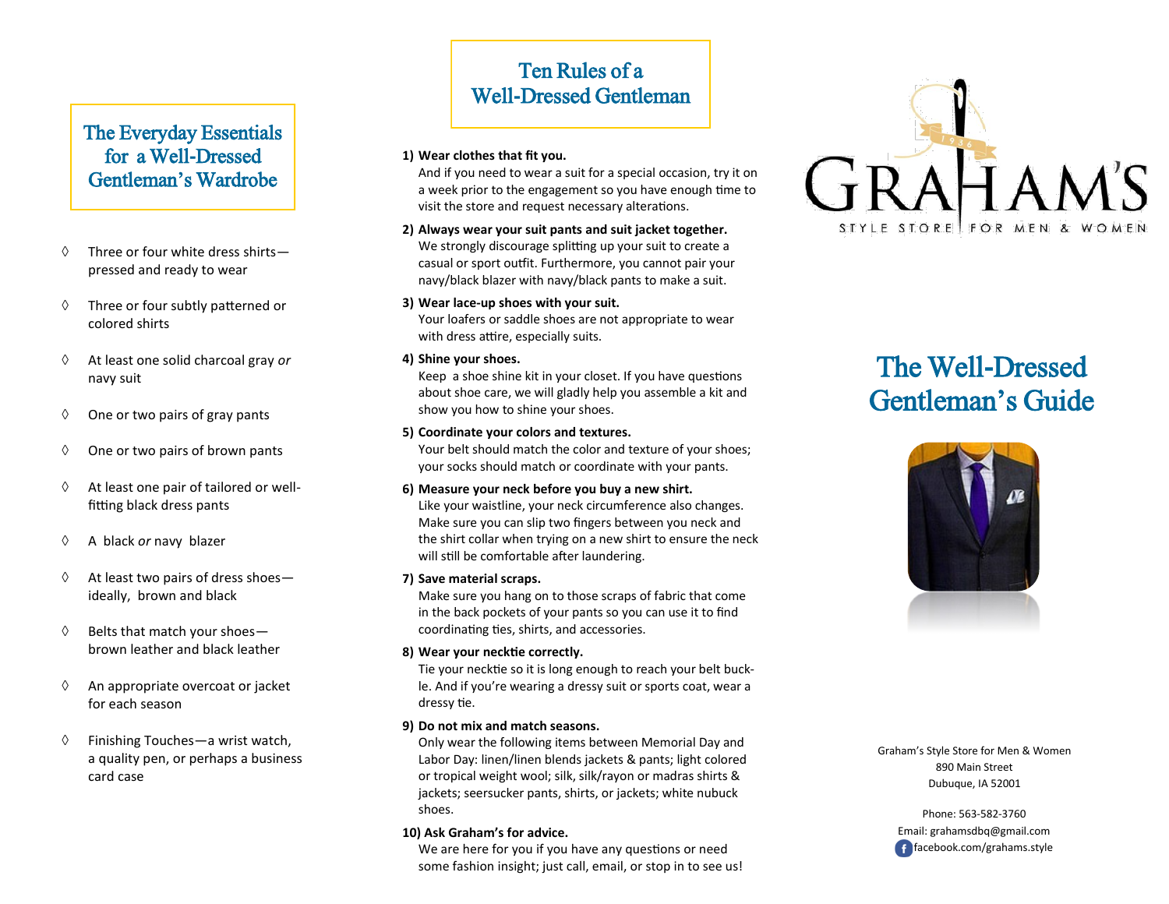## The Everyday Essentials for a Well-Dressed Gentleman's Wardrobe

- $\Diamond$  Three or four white dress shirts pressed and ready to wear
- $\Diamond$  Three or four subtly patterned or colored shirts
- At least one solid charcoal gray *or* navy suit
- $\Diamond$  One or two pairs of gray pants
- $\Diamond$  One or two pairs of brown pants
- $\Diamond$  At least one pair of tailored or wellfitting black dress pants
- A black *or* navy blazer
- $\Diamond$  At least two pairs of dress shoesideally, brown and black
- $\Diamond$  Belts that match your shoesbrown leather and black leather
- $\Diamond$  An appropriate overcoat or jacket for each season
- $\Diamond$  Finishing Touches—a wrist watch, a quality pen, or perhaps a business card case

## Ten Rules of a Well-Dressed Gentleman

#### **1) Wear clothes that fit you.**

And if you need to wear a suit for a special occasion, try it on a week prior to the engagement so you have enough time to visit the store and request necessary alterations.

- **2) Always wear your suit pants and suit jacket together.** We strongly discourage splitting up your suit to create a casual or sport outfit. Furthermore, you cannot pair your navy/black blazer with navy/black pants to make a suit.
- **3) Wear lace-up shoes with your suit.**

Your loafers or saddle shoes are not appropriate to wear with dress attire, especially suits.

**4) Shine your shoes.**

Keep a shoe shine kit in your closet. If you have questions about shoe care, we will gladly help you assemble a kit and show you how to shine your shoes.

#### **5) Coordinate your colors and textures.**

Your belt should match the color and texture of your shoes; your socks should match or coordinate with your pants.

#### **6) Measure your neck before you buy a new shirt.**

Like your waistline, your neck circumference also changes. Make sure you can slip two fingers between you neck and the shirt collar when trying on a new shirt to ensure the neck will still be comfortable after laundering.

#### **7) Save material scraps.**

Make sure you hang on to those scraps of fabric that come in the back pockets of your pants so you can use it to find coordinating ties, shirts, and accessories.

#### **8) Wear your necktie correctly.**

Tie your necktie so it is long enough to reach your belt buckle. And if you're wearing a dressy suit or sports coat, wear a dressy tie.

#### **9) Do not mix and match seasons.**

Only wear the following items between Memorial Day and Labor Day: linen/linen blends jackets & pants; light colored or tropical weight wool; silk, silk/rayon or madras shirts & jackets; seersucker pants, shirts, or jackets; white nubuck shoes.

#### **10) Ask Graham's for advice.**

We are here for you if you have any questions or need some fashion insight; just call, email, or stop in to see us!



# The Well-Dressed Gentleman's Guide



Graham's Style Store for Men & Women 890 Main Street Dubuque, IA 52001

Phone: 563-582-3760 Email: grahamsdbq@gmail.com facebook.com/grahams.style